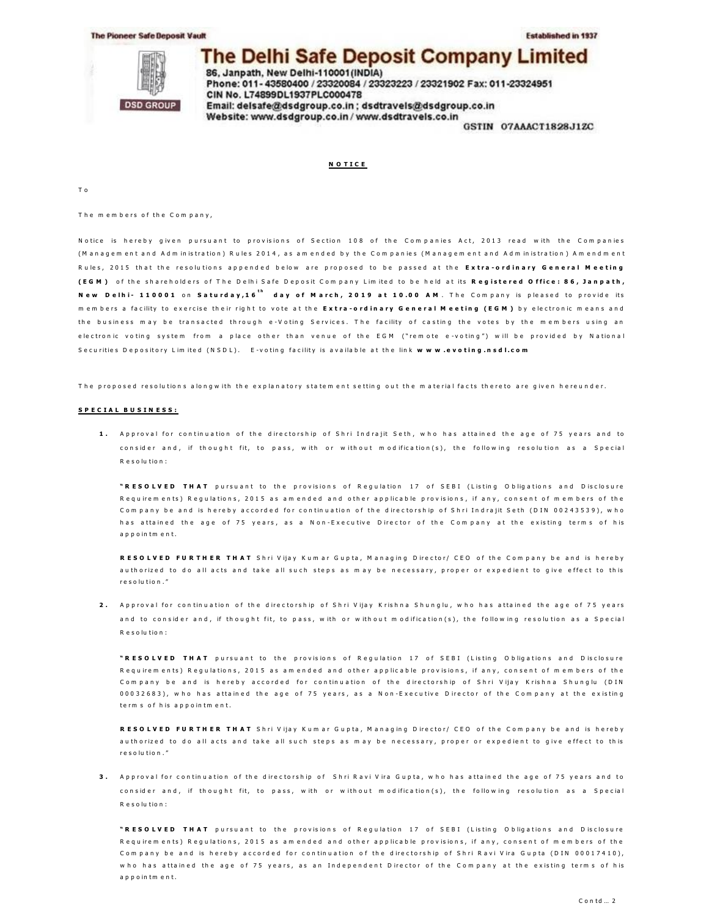

# The Delhi Safe Deposit Company Limited

86, Janpath, New Delhi-110001(INDIA) Phone: 011-43580400 / 23320084 / 23323223 / 23321902 Fax: 011-23324951 CIN No. L74899DL1937PLC000478 Email: delsafe@dsdgroup.co.in ; dsdtravels@dsdgroup.co.in Website: www.dsdgroup.co.in / www.dsdtravels.co.in

GSTIN O7AAACT1828J1ZC

## **N O T I C E**

T o

The members of the Company,

Notice is hereby given pursuant to provisions of Section 108 of the Companies Act, 2013 read with the Companies (Managem ent and Administration) Rules 2014, as amended by the Companies (Managem ent and Administration) Amendment Rules, 2015 that the resolutions appended below are proposed to be passed at the **Extra-ordinary General Meeting** (EGM) of the shareholders of The Delhi Safe Deposit Company Limited to be held at its **Registered Office: 86, Janpath**, **New Delhi-110001** on  $\mathsf{Saturday,16}^\text{th}$  day of March, 2019 at 10.00 AM. The Company is pleased to provide its m embers a facility to exercise their right to vote at the Extra-ordinary General Meeting (EGM) by electronic means and the business may be transacted through e-Voting Services. The facility of casting the votes by the members using an e lectronic voting system from a place other than venue of the EGM ("remote e-voting") will be provided by National Securities Depository Lim ited (NSDL). E-voting facility is available at the link www.evoting.nsdl.com

The proposed resolutions alongwith the explanatory statement setting out the material facts thereto are given hereunder.

#### **S P E C I A L B U S I N E S S :**

1. Approval for continuation of the directorship of Shri Indrajit Seth, who has attained the age of 75 years and to consider and, if thought fit, to pass, with or without modification(s), the following resolution as a Special R e s o lu tio n :

"RESOLVED THAT pursuant to the provisions of Regulation 17 of SEBI (Listing Obligations and Disclosure Requirements) Regulations, 2015 as amended and other applicable provisions, if any, consent of members of the Com pany be and is hereby accorded for continuation of the directorship of Shri Indrajit Seth (DIN 00243539), who has attained the age of 75 years, as a Non-Executive Director of the Company at the existing terms of his a p p o in tm e n t.

**RESOLVED FURTHER THAT** Shri Vijav Kum ar Gupta, Managing Director/ CEO of the Company be and is hereby au thorized to do all acts and take all such steps as may be necessary, proper or expedient to give effect to this r e s o lu tio n .

**2.** A p p roval for continuation of the directorship of Shri Vijav Krishna Shunglu, who has attained the age of 75 years and to consider and, if thought fit, to pass, with or without modification(s), the following resolution as a Special R e s o lu tio n :

"RESOLVED THAT pursuant to the provisions of Regulation 17 of SEBI (Listing Obligations and Disclosure Requirements) Regulations, 2015 as amended and other applicable provisions, if any, consent of members of the Com pany be and is hereby accorded for continuation of the directorship of Shri Vijay Krishna Shunglu (DIN 00032683), who has attained the age of 75 years, as a Non-Executive Director of the Company at the existing term s of his appointment.

**RESOLVED FURTHER THAT** Shri Vijay Kumar Gupta, Managing Director/ CEO of the Company be and is hereby au thorized to do all acts and take all such steps as may be necessary, proper or expedient to give effect to this re so lu tion.'

**3.** A p p roval for continuation of the directorship of Shri Ravi Vira Gupta, who has attained the age of 75 years and to consider and, if thought fit, to pass, with or without modification(s), the following resolution as a Special R e s o lu tion :

"RESOLVED THAT pursuant to the provisions of Regulation 17 of SEBI (Listing Obligations and Disclosure Requirements) Requiations, 2015 as amended and other applicable provisions, if any, consent of members of the Company be and is hereby accorded for continuation of the directorship of Shri Ravi Vira Gupta (DIN 00017410). who has attained the age of 75 years, as an Independent Director of the Company at the existing terms of his a p p o in tm e n t.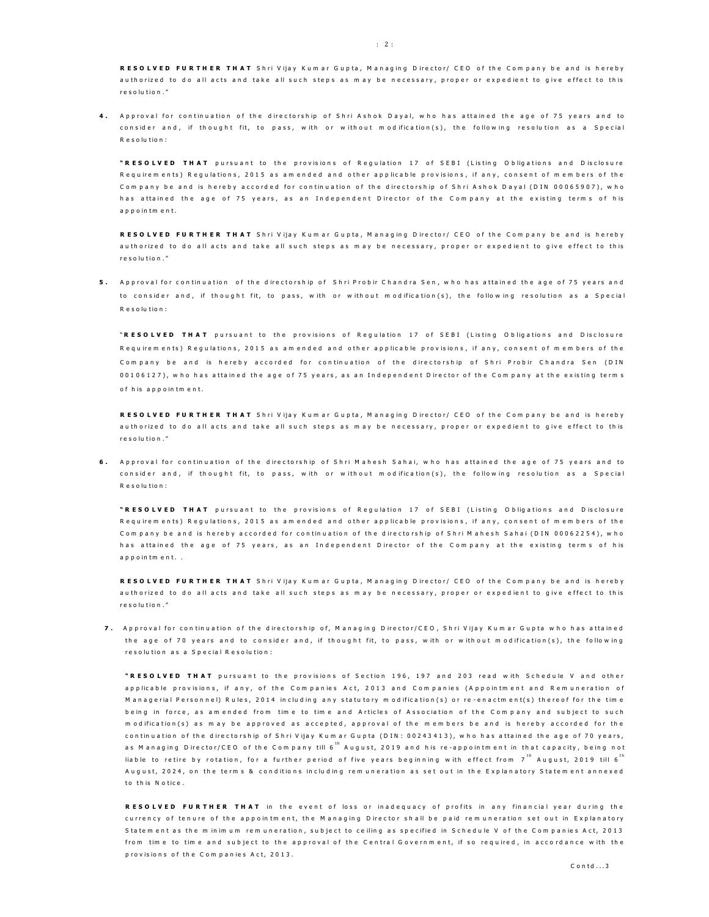**R ESOLVED FURTHER THAT** Shri Vijay Kumar Gupta, Managing Director/ CEO of the Company be and is hereby au thorized to do all acts and take all such steps as may be necessary, proper or expedient to qive effect to this re solution."

4. Approval for continuation of the directorship of Shri Ashok Dayal, who has attained the age of 75 years and to consider and, if thought fit, to pass, with or without modification(s), the following resolution as a Special R e s o lu t io n :

**"RESOLVED THAT** pursuant to the provisions of Requiation 17 of SEBI (Listing Obligations and Disclosure Requirem ents) Regulations, 2015 as am ended and other applicable provisions, if any, consent of members of the Company be and is hereby accorded for continuation of the directorship of Shri Ashok Dayal (DIN 00065907), who has attained the age of 75 years, as an Independent Director of the Company at the existing terms of his  $apno in *tm*  $ent$$ 

**R ESOLVED FURTHER THAT** Shri Vijay Kumar Gupta, Managing Director/ CEO of the Company be and is hereby au thorized to do all acts and take all such steps as may be necessary, proper or expedient to give effect to this resolution<sup>"</sup>

**5.** Approval for continuation of the directorship of Shri Probir Chandra Sen, who has attained the age of 75 years and to consider and, if thought fit, to pass, with or without modification(s), the following resolution as a Special R e s o lu t io n :

"RESOLVED THAT pursuant to the provisions of Requiation 17 of SFBI (Listing Obligations and Disclosure Requirements) Regulations, 2015 as amended and other applicable provisions, if any, consent of members of the Company be and is hereby accorded for continuation of the directorship of Shri Probir Chandra Sen (DIN 00106127), who has attained the age of 75 years, as an Independent Director of the Company at the existing terms of his appointment.

**R E SO LVED FURTHER THAT** Shri Vijay Kumar Gupta, Managing Director/ CEO of the Company be and is hereby au thorized to do all acts and take all such steps as may be necessary, proper or expedient to give effect to this resolution."

**6.** A p p roval for continuation of the directorship of Shri M ahesh Sahai, who has attained the age of 75 years and to consider and, if thought fit, to pass, with or without modification(s), the following resolution as a Special R e s o lu t io n :

"RESOLVED THAT pursuant to the provisions of Regulation 17 of SEBI (Listing Obligations and Disclosure Requirements) Regulations, 2015 as amended and other applicable provisions, if any, consent of members of the Company be and is hereby accorded for continuation of the directorship of Shri Mahesh Sahai (DIN 00062254), who has attained the age of 75 years, as an Independent Director of the Company at the existing terms of his  $a$  p p  $o$  in  $tm$   $e$  n  $t$  ...

**R ESO LVED FURTHER THAT** Shri Vijav Kumar Gupta, Managing Director/ CEO of the Company be and is hereby au thorized to do all acts and take all such steps as may be necessary, proper or expedient to give effect to this  $r$  e colution  $''$ 

**7.** A p p roval for continuation of the directorship of. Managing Director/CEO, Shri Vijay Kumar Gupta who has attained the age of 70 years and to consider and, if thought fit, to pass, with or without modification(s), the following resolution as a Special Resolution:

"RESOLVED THAT pursuant to the provisions of Section 196, 197 and 203 read with Schedule V and other applicable provisions, if any, of the Companies Act, 2013 and Companies (Appointment and Remuneration of M a n a g e rial P e r s onnel) Rules, 2014 including any statutory modification (s) or re-enactment (s) there of for the time being in force, as amended from time to time and Articles of Association of the Company and subject to such m od ification (s) as may be approved as accepted, approval of the members be and is hereby accorded for the con tinuation of the directorship of Shri Vijav Kumar Gupta (DIN: 00243413), who has attained the age of 70 years, as Managing Director/CEO of the Company till 6<sup>th</sup> August, 2019 and his re-appointment in that capacity, being not liable to retire by rotation, for a further period of five years beginning with effect from 7  $^{\rm th}$  August, 2019 till 6  $^{\rm th}$ August, 2024, on the terms & conditions including remuneration as set out in the Explanatory Statement annexed to this Notice.

**RESOLVED FURTHER THAT** in the event of loss or inadequacy of profits in any financial year during the currency of tenure of the appointment, the Managing Director shall be paid remuneration set out in Explanatory Statem ent as the m inimum remuneration, subject to ceiling as specified in Schedule V of the Companies Act. 2013 from time to time and subject to the approval of the Central Government, if so required, in accordance with the p rovisions of the Companies Act. 2013.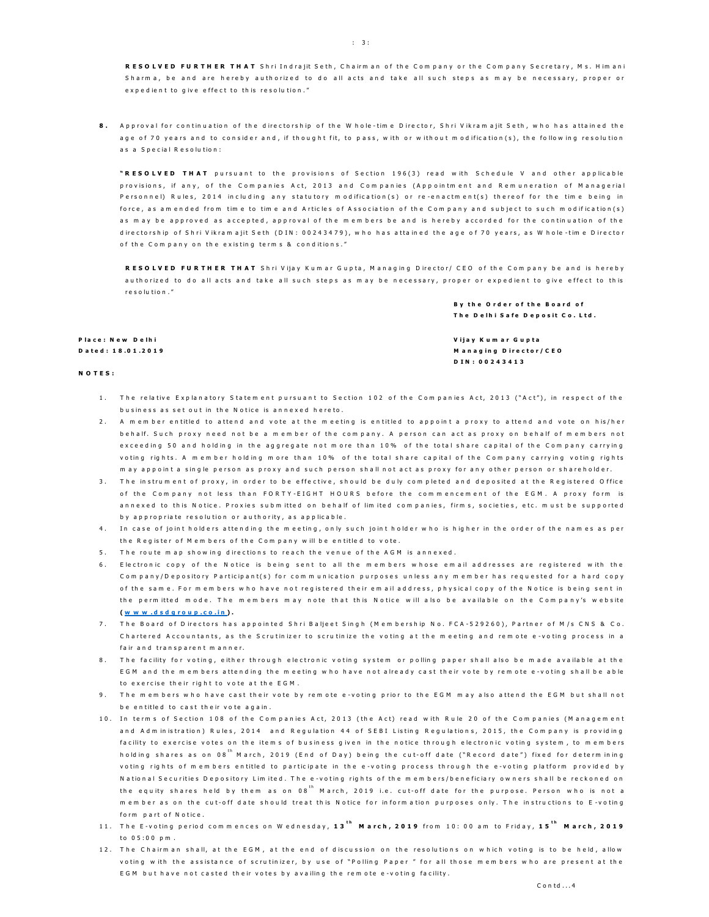**R ESOLVED FURTHER THAT** Shri Indrailt Seth. Chairm an of the Company or the Company Secretary, Ms. Him ani Sharma, be and are hereby authorized to do all acts and take all such steps as may be necessary, proper or expedient to give effect to this resolution."

**8.** Approval for continuation of the directorship of the W hole-time Director, Shri Vikramajit Seth, who has attained the age of 70 years and to consider and, if thought fit, to pass, with or without modification(s), the following resolution as a Special Resolution:

**"RESOLVED THAT** pursuant to the provisions of Section 196(3) read with Schedule V and other applicable p rovisions, if any, of the Companies Act, 2013 and Companies (Appointment and Remuneration of Managerial Personnel) Rules, 2014 including any statutory modification(s) or re-enactment(s) thereof for the time being in force, as amended from time to time and Articles of Association of the Company and subject to such modification(s) as may be approved as accepted, approval of the members be and is hereby accorded for the continuation of the directorship of Shri Vikram ajit Seth (DIN: 00243479), who has attained the age of 70 years, as Whole-time Director of the Company on the existing terms & conditions."

R ESOLVED FURTHER THAT Shri Vijay Kumar Gupta, Managing Director/ CEO of the Company be and is hereby au thorized to do all acts and take all such steps as may be necessary, proper or expedient to give effect to this resolution "

Place: New Delhi **in the second of the second was seen to be a second was to be a second was seen to be a second w D a t e d : 1 8 . 0 1 . 2 0 1 9 M a n a g i n g D i r e c t o r / C E O**

**B y t h e O r d e r o f t h e B o a r d o f T h e D e l h i S a f e D e p o s i t C o . L t d .**

**D I N : 0 0 2 4 3 4 1 3**

## **N O T E S :**

- 1. The relative Explanatory Statement pursuant to Section 102 of the Companies Act, 2013 ("Act"), in respect of the b u siness as set out in the Notice is annexed hereto.
- 2. A member entitled to attend and vote at the meeting is entitled to appoint a proxy to attend and vote on his/her b e half. Such proxy need not be a member of the company. A person can act as proxy on behalf of members not exceeding 50 and holding in the aggregate not more than 10% of the total share capital of the Company carrying voting rights. A member holding more than 10% of the total share capital of the Company carrying voting rights m av annoint a single person as proxy and such person shall not act as proxy for any other person or shareholder
- 3. The instrument of proxy, in order to be effective, should be duly completed and deposited at the Reqistered Office of the Company not less than FORTY-EIGHT HOURS before the commencement of the EGM. A proxy form is annexed to this Notice. Proxies submitted on behalf of limited companies, firms, societies, etc. must be supported by a p p r o p ria te r e s o lu tion or authority, as a p p lic a b le.
- 4. In case of joint holders attending the meeting, only such joint holder who is higher in the order of the names as per the Register of M em bers of the Company will be entitled to vote.
- 5. The route map show ing directions to reach the venue of the AGM is annexed.
- 6. Electronic copy of the Notice is being sent to all the members whose email addresses are registered with the Com pany/Depository Participant(s) for communication purposes unless any member has requested for a hard copy of the same. For members who have not reqistered their email address, physical copy of the Notice is being sent in the permitted mode. The members may note that this Notice will also be available on the Company's website **( [w w w . d s d g r o u p . c o . i n](http://www.dsdgroup.co.in/) ) .**
- 7. The Board of Directors has appointed Shri Baljeet Singh (Membership No. FCA-529260), Partner of M/s CNS & Co. Chartered Accountants, as the Scrutinizer to scrutinize the voting at the meeting and remote e-voting process in a fair and transnarent manner
- 8. The facility for voting, either through electronic voting system or polling paper shall also be made available at the E G M and the members attending the meeting who have not already cast their vote by remote e-voting shall be able to exercise their right to vote at the EGM
- 9. The members who have cast their vote by remote e-voting prior to the EGM may also attend the EGM but shall not be en titled to cast their vote again.
- 10. In terms of Section 108 of the Companies Act, 2013 (the Act) read with Rule 20 of the Companies (Management and Administration) Rules, 2014 and Regulation 44 of SEBI Listing Regulations, 2015, the Company is providing facility to exercise votes on the items of business given in the notice through electronic voting system, to members holding shares as on 08  $^{\rm th}$  March, 2019 (End of Day) being the cut-off date ("Record date") fixed for determining voting rights of members entitled to participate in the e-voting process through the e-voting platform provided by N ational Securities Depository Limited. The e-voting rights of the members/beneficiary owners shall be reckoned on the equity shares held by them as on 08<sup>th</sup> March, 2019 i.e. cut-off date for the purpose. Person who is not a m em ber as on the cut-off date should treat this Notice for information purposes only. The instructions to E-voting form part of Notice.
- 11. The E-voting period commences on Wednesday**, 13<sup>th</sup> March, 2019** from 10:00 am to Friday**, 15<sup>th</sup> March, 2019**  $to 05:00 pm$ .
- 12. The Chairm an shall, at the EGM, at the end of discussion on the resolutions on which voting is to be held, allow voting with the assistance of scrutinizer, by use of "Polling Paper" for all those members who are present at the E GM but have not casted their votes by availing the rem ote e-voting facility.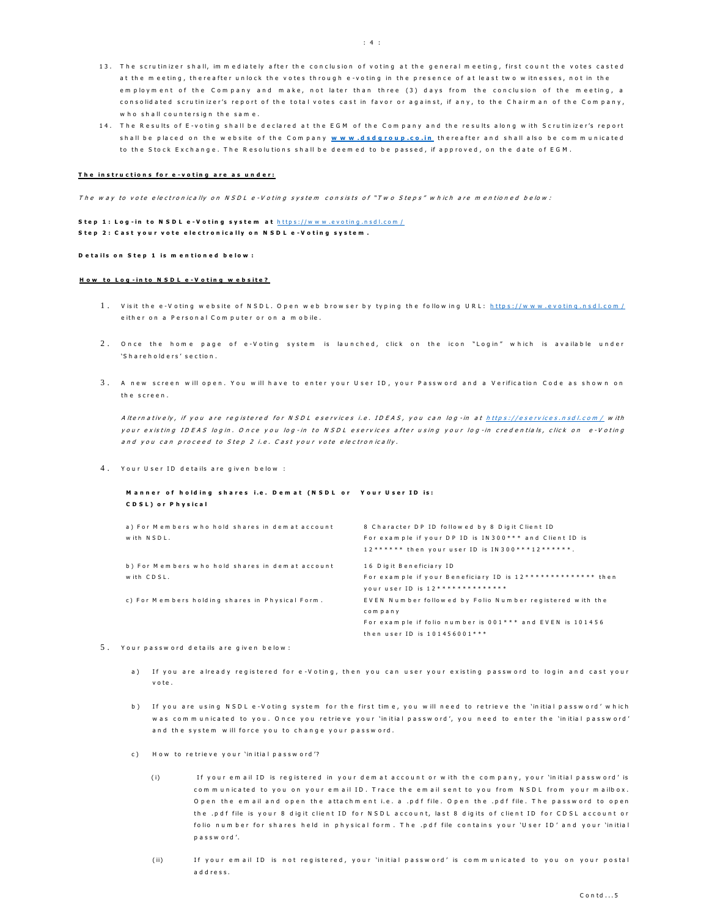- 13. The scrutinizer shall, im mediately after the conclusion of voting at the general meeting, first count the votes casted at the meeting, thereafter unlock the votes through e-voting in the presence of at least two witnesses, not in the em ployment of the Company and make, not later than three (3) days from the conclusion of the meeting, a consolidated scrutinizer's report of the total votes cast in favor or against, if any, to the Chairman of the Company, who shall countersion the same.
- 14. The Results of E-voting shall be declared at the EGM of the Company and the results along with Scrutinizer's report shall be placed on the website of the Company www.dsdgroup.co.in thereafter and shall also be communicated to the Stock Exchange. The Resolutions shall be deemed to be passed, if approved, on the date of EGM.

### **The instructions for e-voting are as under:**

The way to vote electronically on NSDL e-V oting system consists of "Two Steps" which are mentioned below:

# S tep 1: Log -in to NSDL e-Voting system at https://www.evoting.nsdl.com/ Step 2: Cast your vote electronically on NSDL e-Voting system.

### **Details on Sten 1 is mentioned helow:**

### **H o w t o L o g - i n t o N S D L e - V o t i n g w e b s i t e ?**

- 1. Visit the e-V oting website of NSDL. Open web browser by typing the following URL: https://www.evoting.nsdl.com/ e ith er on a Personal Computer or on a mobile.
- 2. Once the home page of e-Voting system is launched, click on the icon "Login" which is available under 'S h a reh old e rs' section
- 3. A new screen will open. You will have to enter your User ID, your Password and a Verification Code as shown on the screen.

A lternatively, if you are registered for NSDL eserv[ic](https://eservices.nsdl.com/)es i.e. IDEAS, you can log-in at https://eservices.nsdl.com/with y our existing IDEAS login. Once you log-in to NSDL eservices after using your log-in credentials, click on e-Voting and you can proceed to Step 2 i.e. Cast your vote electronically.

4. Your User ID details are given below :

### **M** anner of holding shares i.e. Demat (NSDL or Your User ID is: **C D S L ) o r P h y s i c a l** a) For M em bers who hold shares in demat account  $w$  ith  $N$  S D L. 8 Character DP ID followed by 8 Digit Client ID For example if your DP ID is IN 300 \*\*\* and Client ID is  $12******$  then your user ID is  $IN300***12******$ . b) For M em bers who hold shares in demat account w ith CDSI 16 D ig it Beneficiary ID For exam ple if your Beneficiary ID is  $12************$  then your user ID is 12 \* \* \* \* \* \* \* \* \* \* \* \* \* \* c) For M em bers holding shares in Physical Form . EVEN N umber followed by Folio N umber registered with the c o m p a n y For example if folio number is  $0.01***$  and EVEN is 101456 then user ID is  $101456001***$

- 5. Your password details are given below:
	- a) If you are already registered for e-Voting, then you can user your existing password to login and cast your v o te.
	- b) If you are using NSDL e-Voting system for the first time, you will need to retrieve the 'initial password' which w as communicated to you. Once you retrieve your 'initial password', you need to enter the 'initial password' and the system will force you to change your password.
	- c) How to retrieve your 'initial password'?
		- (i) If your email ID is registered in your demat account or with the company, your 'initial password' is com m u nicated to you on your em ail ID. Trace the em ail sent to you from NSDL from your mailbox. O p en the em ail and open the attachment i.e. a .pdf file. O p en the .pdf file. The password to open the .pdf file is your 8 digit client ID for NSDL account, last 8 digits of client ID for CDSL account or folio num ber for shares held in physical form. The .pdf file contains your 'User ID' and your 'initial p a s s w o rd'.
		- (ii) If your em ail ID is not registered, your 'initial password' is communicated to you on your postal a d d r e s s .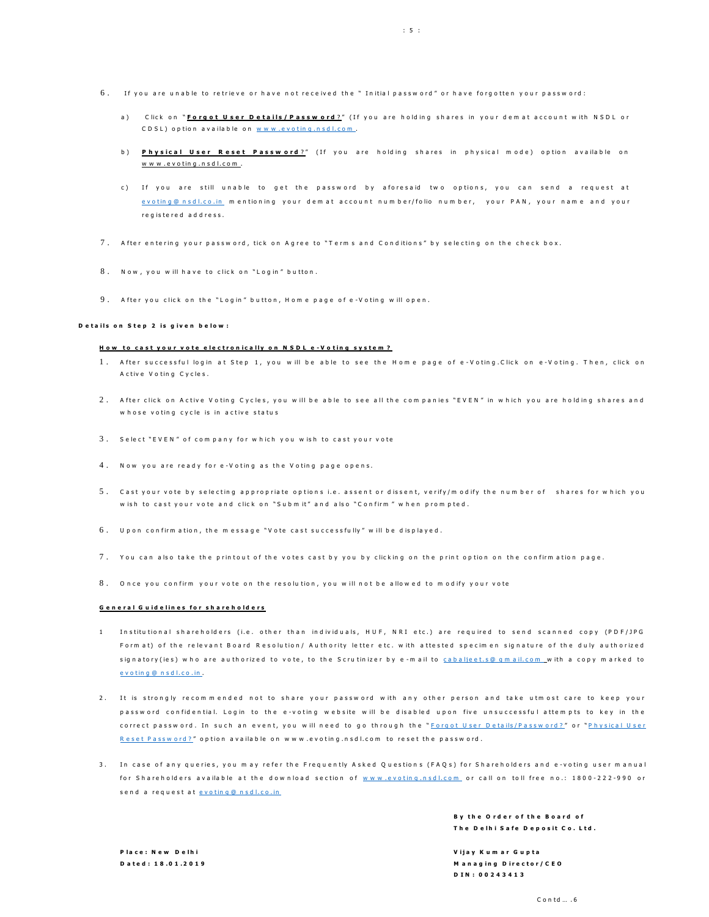- 6. If you are unable to retrieve or have not received the "Initial password" or have forgotten your password:
	- a) Click on "**Forgot User Details/Password**?" (If you are holding shares in your demat account with NSDL or C D S L ) op tion a vailable on www.evoting.nsdl.com.
	- b) Physical User Reset Password?" (If you are holding shares in physical mode) option available on w w w .e v o tin g . n s d l. c o m .
	- c) If you are still unable to get the password by aforesaid two options, you can send a request at e v o tin q @ n s d l. c o . in mentioning your demat account number/folio number, your PAN, your name and your r e g is te r e d a d d r e s s.
- 7. A fter entering your password, tick on Agree to "Terms and Conditions" by selecting on the check box.
- 8. Now, you will have to click on "Login" button.
- 9. After you click on the "Login" button, Home page of e-Voting will open.

# **Details on Step 2 is given below:**

## How to cast your vote electronically on NSDL e-Voting system?

- 1. After successful login at Step 1, you will be able to see the Home page of e-Voting. Click on e-Voting. Then, click on A c tive V o tin a C y cles.
- 2. After click on Active Voting Cycles, you will be able to see all the companies "EVEN" in which you are holding shares and w h o s e v o tin g c y c le is in a c tive status
- 3 Select "FVFN" of company for which you wish to cast your yote
- 4. Now you are ready for e-Voting as the Voting page opens.
- 5. Cast your vote by selecting appropriate options i.e. assent or dissent, verify/m odify the number of shares for which you w ish to cast your vote and click on "Subm it" and also "Confirm" when prompted.
- $6$ . Up on confirm ation, the message "V ote cast successfully" will be displayed.
- $7$ . You can also take the printout of the votes cast by you by clicking on the print option on the confirmation page.
- 8. Once you confirm your vote on the resolution, you will not be allowed to modify your vote

# **G** e n e r a l **G** u id e lin es for sh a r e h o ld e r s

- 1 In stitutional shareholders (i.e. other than individuals, HUF, NRI etc.) are required to send scanned copy (PDF/JPG Form at) of the relevant Board Resolution/ Authority letter etc. with attested specimen signature of the duly authorized signatory (ies) who are authorized to vote, to the Scrutinizer by e-mail to cabaljeet.s@ qmail.com with a copy marked to e v o tin g @ n s d l c o in
- 2. It is strongly recommended not to share your password with any other person and take utmost care to keep your password confidential. Login to the e-voting website will be disabled upon five unsuccessful attempts to key in the correct password. In such an event, you will need to go through the "Forgot User Details/Password?" or "Physical User Reset Password?" option available on www.evoting.nsdl.com to reset the password.
- 3. In case of any queries, you may refer the Frequently Asked Questions (FAQs) for Shareholders and e-voting user manual for Shareholders available at the download section of www.evoting.nsdl.com or call on toll free no.: 1800-222-990 or s e n d a request at evo tin q @ n s d l. co. in

**B y t h e O r d e r o f t h e B o a r d o f**  The Delhi Safe Deposit Co. Ltd.

**P l a c e : N e w D e l h i V i j a y K u m a r G u p t a**

**D a t e d : 1 8 . 0 1 . 2 0 1 9 M a n a g i n g D i r e c t o r / C E O D I N : 0 0 2 4 3 4 1 3**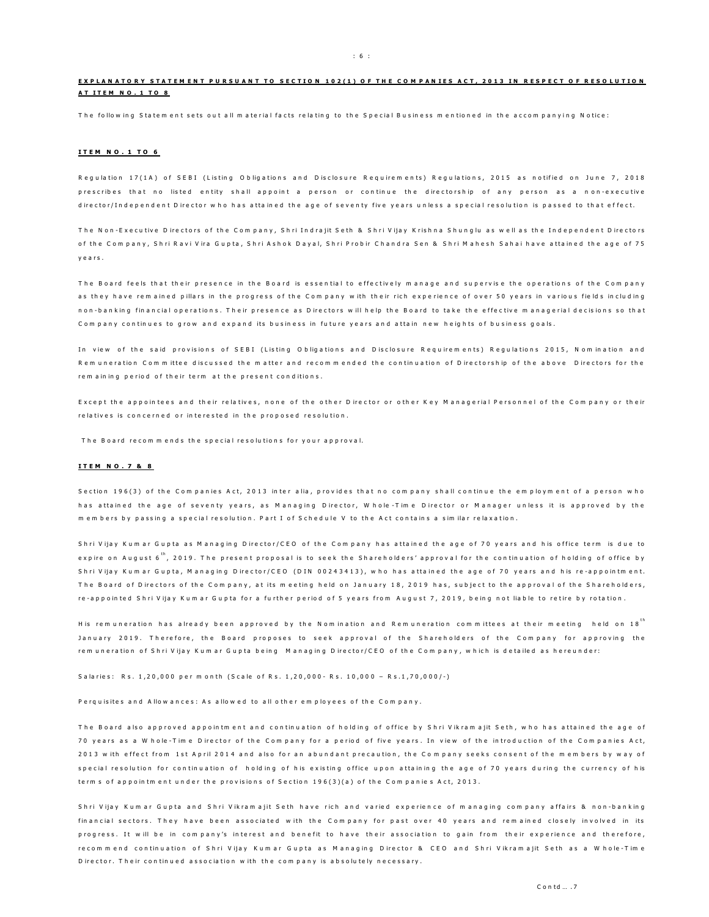## **EXPLAN A TO RY STATEM ENT PURSUANT TO SECTION 102(1) OF THE COMPANIES ACT, 2013 IN RESPECT OF RESOLUTION A T I T E M N O . 1 T O 8**

The following Statement sets out all material facts relating to the Special Business mentioned in the accompanying Notice:

## **I T E M N O . 1 T O 6**

Requiation 17 (1 A) of SEBI (Listing Obligations and Disclosure Requirements) Requiations, 2015 as notified on June 7, 2018 prescribes that no listed entity shall appoint a person or continue the directorship of any person as a non-executive director/Independent Director who has attained the age of seventy five years unless a special resolution is passed to that effect.

The Non-Executive Directors of the Company, Shri Indrailt Seth & Shri Vilay Krishna Shunglu as well as the Independent Directors of the Company, Shri Ravi Vira Gunta, Shri Ashok Daval, Shri Probir Chandra Sen & Shri Mahesh Sahai have attained the age of 75 y e a r s .

The Board feels that their presence in the Board is essential to effectively manage and supervise the operations of the Company as they have remained pillars in the progress of the Company with their rich experience of over 50 years in various fields including n on - b an king financial one rations. Their presence as Directors will help the Board to take the effective managerial decisions so that Com pany continues to grow and expand its business in future years and attain new heights of business goals.

In view of the said provisions of SEBI (Listing Obligations and Disclosure Requirements) Requlations 2015, Nomination and Rem uneration Committee discussed the matter and recommended the continuation of Directorship of the above Directors for the rem a in in g p e riod of their term at the present conditions.

Except the appointees and their relatives, none of the other Director or other Key Managerial Personnel of the Company or their relatives is concerned or interested in the proposed resolution.

The Board recommends the special resolutions for your approval.

#### **I T E M N O . 7 & 8**

Section 196(3) of the Companies Act, 2013 inter alia, provides that no company shall continue the employment of a person who has attained the age of seventy years, as Managing Director, Whole-Time Director or Manager unless it is approved by the m em bers by passing a special resolution. Part I of Schedule V to the Act contains a similar relaxation.

Shri Vijay Kumar Gupta as Managing Director/CEO of the Company has attained the age of 70 years and his office term is due to expire on August 6  $^{\rm th}$ , 2019. The present proposal is to seek the Shareholders' approval for the continuation of holding of office by Shri Vijay Kumar Gupta, Managing Director/CEO (DIN 00243413), who has attained the age of 70 years and his re-appointment. The Board of Directors of the Company, at its meeting held on January 18, 2019 has, subject to the approval of the Shareholders, re-appointed Shri Vijay Kumar Gupta for a further period of 5 years from August 7, 2019, being not liable to retire by rotation.

His remuneration has already been approved by the Nomination and Remuneration committees at their meeting held on 18  $^{\rm th}$ January 2019. Therefore, the Board proposes to seek approval of the Shareholders of the Company for approving the rem uneration of Shri Vijay Kum ar Gupta being Managing Director/CEO of the Company, which is detailed as hereunder:

Salaries: Rs. 1,20,000 per m on th (Scale of Rs. 1,20,000 - Rs. 10,000 - Rs. 1,70,000/-)

P e r q u is it e s a n d A llo w ances: A s a llo w e d to all o there m p love es of the Company.

The Board also approved appointment and continuation of holding of office by Shri Vikramajit Seth, who has attained the age of 70 years as a W hole-Time Director of the Company for a period of five years. In yiew of the introduction of the Companies Act. 2013 with effect from 1st April 2014 and also for an abundant precaution, the Company seeks consent of the members by way of special resolution for continuation of holding of his existing office upon attaining the age of 70 years during the currency of his term s of appointment under the provisions of Section 196(3)(a) of the Companies Act, 2013.

Shri Vijay Kumar Gupta and Shri Vikramajit Seth have rich and varied experience of managing company affairs & non-banking financial sectors. They have been associated with the Company for past over 40 years and remained closely involved in its progress. It will be in company's interest and benefit to have their association to gain from their experience and therefore, re com mend continuation of Shri Vijay Kumar Gupta as Managing Director & CEO and Shri Vikramajit Seth as a Whole-Time D irector. Their continued association with the company is absolutely necessary.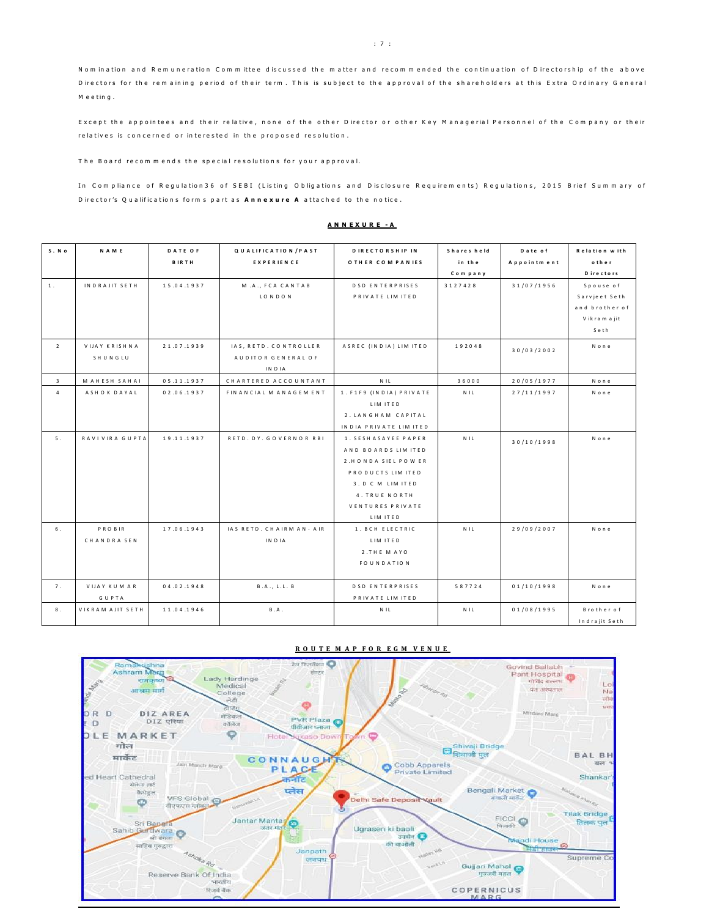Nom ination and Remuneration Committee discussed the matter and recommended the continuation of Directorship of the above Directors for the remaining period of their term. This is subject to the approval of the shareholders at this Extra Ordinary General M e e ting.

Except the appointees and their relative, none of the other Director or other Key Managerial Personnel of the Company or their relatives is concerned or interested in the proposed resolution.

The Board recommends the special resolutions for your approval.

In Compliance of Regulation 36 of SEBI (Listing Obligations and Disclosure Requirements) Regulations, 2015 Brief Summary of D irector's Qualifications forms part as **Annexure A** attached to the notice.

| S.No                    | <b>NAME</b>              | DATE OF<br>BIRTH | QUALIFICATION/PAST<br><b>EXPERIENCE</b>               | DIRECTORSHIP IN<br>OTHER COMPANIES                                                                                                                            | Shares held<br>in the<br>Com pany | Date of<br>Appointment | Relation with<br>other<br><b>Directors</b>                          |
|-------------------------|--------------------------|------------------|-------------------------------------------------------|---------------------------------------------------------------------------------------------------------------------------------------------------------------|-----------------------------------|------------------------|---------------------------------------------------------------------|
| $1$ .                   | INDRAJIT SETH            | 15.04.1937       | M .A., FCA CANTAB<br>LONDON                           | <b>DSD ENTERPRISES</b><br>PRIVATE LIM ITED                                                                                                                    | 3127428                           | 31/07/1956             | Spouse of<br>Sarvjeet Seth<br>and brother of<br>Vikram ajit<br>Seth |
| $\overline{2}$          | VIJAY KRISHNA<br>SHUNGLU | 21.07.1939       | IAS, RETD. CONTROLLER<br>AUDITOR GENERAL OF<br>IN DIA | ASREC (INDIA) LIM ITED                                                                                                                                        | 192048                            | 30/03/2002             | None                                                                |
| $\overline{\mathbf{3}}$ | M AHESH SAHAI            | 05.11.1937       | CHARTERED ACCOUNTANT                                  | $N$ $l$ $l$                                                                                                                                                   | 36000                             | 20/05/1977             | None                                                                |
| $\overline{4}$          | ASHOK DAYAL              | 02.06.1937       | FINANCIAL M ANAGEMENT                                 | 1. F1F9 (INDIA) PRIVATE<br>LIM ITED<br>2. LANGHAM CAPITAL<br>INDIA PRIVATE LIM ITED                                                                           | N <sub>IL</sub>                   | 27/11/1997             | None                                                                |
| 5.                      | RAVIVIRA GUPTA           | 19.11.1937       | RETD. DY. GOVERNOR RBI                                | 1. SESH ASAYEE PAPER<br>AND BOARDS LIM ITED<br>2. HONDA SIEL POWER<br>PRODUCTS LIM ITED<br>3. D C M LIM ITED<br>4. TRUE NORTH<br>VENTURES PRIVATE<br>LIM ITED | <b>NIL</b>                        | 30/10/1998             | None                                                                |
| 6.                      | PROBIR<br>CHANDRA SEN    | 17.06.1943       | IAS RETD. CHAIRM AN - AIR<br>IN DIA                   | 1. BCH ELECTRIC<br>LIM ITED<br>2.THE MAYO<br>FOUNDATION                                                                                                       | $N$ $l$ $l$                       | 29/09/2007             | None                                                                |
| 7.                      | VIJAY KUMAR<br>GUPTA     | 04.02.1948       | B.A., L.L.B                                           | <b>DSD ENTERPRISES</b><br>PRIVATE LIM ITED                                                                                                                    | 587724                            | 01/10/1998             | None                                                                |
| 8 <sub>1</sub>          | VIKRAM AJIT SETH         | 11.04.1946       | <b>B.A.</b>                                           | <b>NIL</b>                                                                                                                                                    | N <sub>IL</sub>                   | 01/08/1995             | <b>Brother of</b><br>Indrajit Seth                                  |

# **A N N E X U R E - A**

## **R O U T E M A P F O R E G M V E N U E**



: 7 :